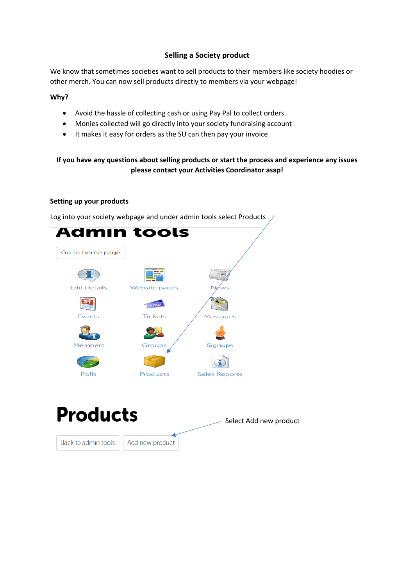# **Selling a Society product**

We know that sometimes societies want to sell products to their members like society hoodies or other merch. You can now sell products directly to members via your webpage!

## **Why?**

- Avoid the hassle of collecting cash or using Pay Pal to collect orders
- Monies collected will go directly into your society fundraising account
- It makes it easy for orders as the SU can then pay your invoice

# **If you have any questions about selling products or start the process and experience any issues please contact your Activities Coordinator asap!**

### **Setting up your products**

Log into your society webpage and under admin tools select Products



**Products** Select Add new productBack to admin tools Add new product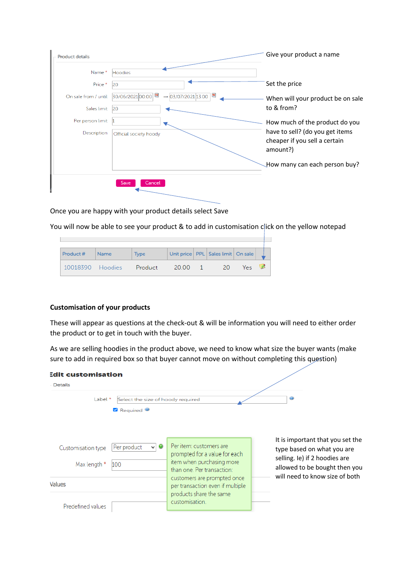| <b>Product details</b> |                                                        | Give your product a name                                                     |
|------------------------|--------------------------------------------------------|------------------------------------------------------------------------------|
| Name *                 | Hoodies                                                |                                                                              |
| Price *                | 20                                                     | Set the price                                                                |
| On sale from / until   | 四<br>30/06/202100:00<br>$\rightarrow$ 03/07/2021 13:00 | When will your product be on sale                                            |
| Sales limit            | 20                                                     | to & from?                                                                   |
| Per person limit       |                                                        | How much of the product do you                                               |
| Description            | Official society hoody                                 | have to sell? (do you get items<br>cheaper if you sell a certain<br>amount?) |
|                        |                                                        | How many can each person buy?                                                |

Once you are happy with your product details select Save

You will now be able to see your product & to add in customisation click on the yellow notepad

| <b>Product #</b> | <b>Name</b> | <b>Type</b> |        |      | Unit price   PPL   Sales limit   On sale |     |  |
|------------------|-------------|-------------|--------|------|------------------------------------------|-----|--|
| 10018390 Hoodies |             | Product     | -20.00 | $-1$ | -20                                      | Yes |  |

## **Customisation of your products**

These will appear as questions at the check-out & will be information you will need to either order the product or to get in touch with the buyer.

As we are selling hoodies in the product above, we need to know what size the buyer wants (make sure to add in required box so that buyer cannot move on without completing this question)

| <b>Edit customisation</b><br><b>Details</b>                                     |                                                            |                                                                                                                                                                                                                                    |                                                                                                                                                                    |
|---------------------------------------------------------------------------------|------------------------------------------------------------|------------------------------------------------------------------------------------------------------------------------------------------------------------------------------------------------------------------------------------|--------------------------------------------------------------------------------------------------------------------------------------------------------------------|
| Label *                                                                         | Select the size of hoody required<br>Required <sup>3</sup> |                                                                                                                                                                                                                                    | $\circledcirc$                                                                                                                                                     |
| Customisation type<br>Max length *<br>100<br><b>Values</b><br>Predefined values | ◙<br>Per product<br>$\vee$                                 | Per item: customers are<br>prompted for a value for each<br>item when purchasing more<br>than one Per transaction:<br>customers are prompted once<br>per transaction even if multiple<br>products share the same<br>customisation. | It is important that you set the<br>type based on what you are<br>selling. Ie) if 2 hoodies are<br>allowed to be bought then you<br>will need to know size of both |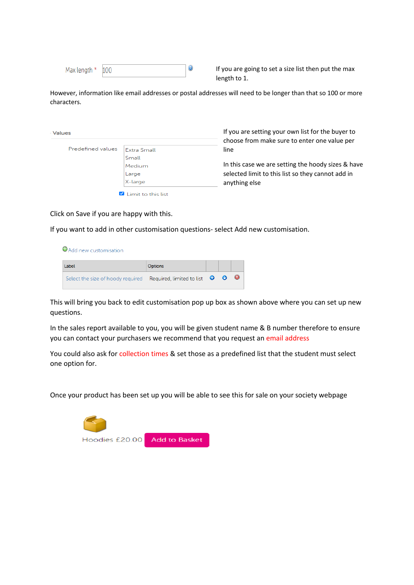| Max length * 100 |  |  |
|------------------|--|--|
|------------------|--|--|

If you are going to set a size list then put the max length to 1.

However, information like email addresses or postal addresses will need to be longer than that so 100 or more characters.

| Predefined values | <b>Extra Small</b> |
|-------------------|--------------------|
|                   | Small              |
|                   | Medium             |
|                   |                    |
|                   | Large              |
|                   | X-large            |

If you are setting your own list for the buyer to choose from make sure to enter one value per line

In this case we are setting the hoody sizes & have selected limit to this list so they cannot add in anything else

Click on Save if you are happy with this.

If you want to add in other customisation questions- select Add new customisation.

O Add new customisation



This will bring you back to edit customisation pop up box as shown above where you can set up new questions.

In the sales report available to you, you will be given student name & B number therefore to ensure you can contact your purchasers we recommend that you request an email address

You could also ask for collection times & set those as a predefined list that the student must select one option for.

Once your product has been set up you will be able to see this for sale on your society webpage

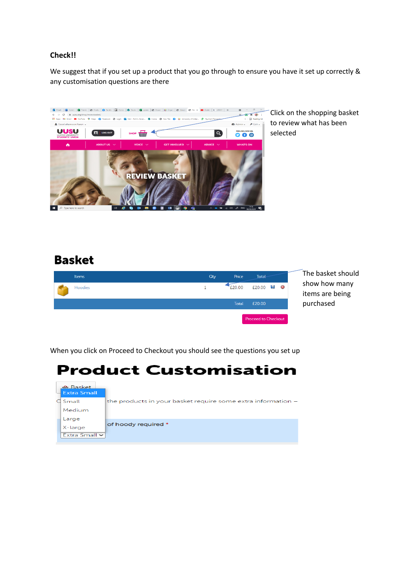# **Check!!**

We suggest that if you set up a product that you go through to ensure you have it set up correctly & any customisation questions are there



Click on the shopping basket to review what has been selected

# **Basket**

| <b>Items</b>   | Qty | Price        | <b>Total</b>         | The basket should                |
|----------------|-----|--------------|----------------------|----------------------------------|
| <b>Hoodies</b> |     | £20.00       | $£20.00$ $\Box$ $\&$ | show how many<br>items are being |
|                |     | <b>Total</b> | £20.00               | purchased                        |
|                |     |              | Proceed to Checkout  |                                  |

When you click on Proceed to Checkout you should see the questions you set up